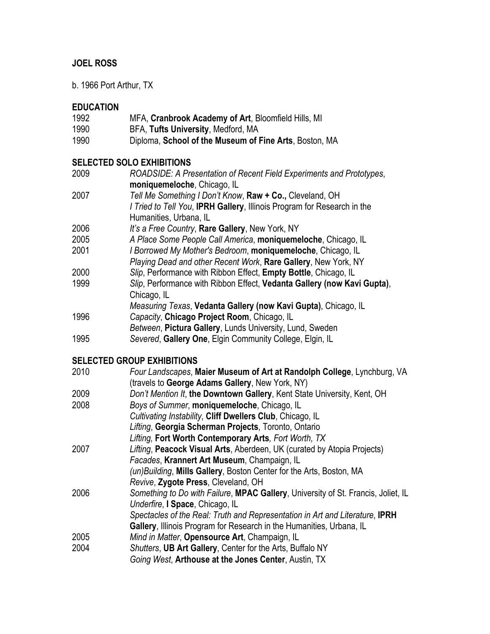## **JOEL ROSS**

b. 1966 Port Arthur, TX

# **EDUCATION**

| 1992 | MFA, Cranbrook Academy of Art, Bloomfield Hills, MI    |
|------|--------------------------------------------------------|
| 1990 | BFA, Tufts University, Medford, MA                     |
| 1990 | Diploma, School of the Museum of Fine Arts, Boston, MA |

#### **SELECTED SOLO EXHIBITIONS**

| 2009 | ROADSIDE: A Presentation of Recent Field Experiments and Prototypes,<br>moniquemeloche, Chicago, IL |
|------|-----------------------------------------------------------------------------------------------------|
| 2007 | Tell Me Something I Don't Know, Raw + Co., Cleveland, OH                                            |
|      | I Tried to Tell You, IPRH Gallery, Illinois Program for Research in the                             |
|      | Humanities, Urbana, IL                                                                              |
| 2006 | It's a Free Country, Rare Gallery, New York, NY                                                     |
| 2005 | A Place Some People Call America, moniquemeloche, Chicago, IL                                       |
| 2001 | I Borrowed My Mother's Bedroom, moniquemeloche, Chicago, IL                                         |
|      | Playing Dead and other Recent Work, Rare Gallery, New York, NY                                      |
| 2000 | Slip, Performance with Ribbon Effect, Empty Bottle, Chicago, IL                                     |
| 1999 | Slip, Performance with Ribbon Effect, Vedanta Gallery (now Kavi Gupta),                             |
|      | Chicago, IL                                                                                         |
|      | Measuring Texas, Vedanta Gallery (now Kavi Gupta), Chicago, IL                                      |
| 1996 | Capacity, Chicago Project Room, Chicago, IL                                                         |
|      | Between, Pictura Gallery, Lunds University, Lund, Sweden                                            |
| 1995 | Severed, Gallery One, Elgin Community College, Elgin, IL                                            |
|      |                                                                                                     |

## **SELECTED GROUP EXHIBITIONS**

| 2010 | Four Landscapes, Maier Museum of Art at Randolph College, Lynchburg, VA           |
|------|-----------------------------------------------------------------------------------|
|      | (travels to George Adams Gallery, New York, NY)                                   |
| 2009 | Don't Mention It, the Downtown Gallery, Kent State University, Kent, OH           |
| 2008 | Boys of Summer, moniquemeloche, Chicago, IL                                       |
|      | Cultivating Instability, Cliff Dwellers Club, Chicago, IL                         |
|      | Lifting, Georgia Scherman Projects, Toronto, Ontario                              |
|      | Lifting, Fort Worth Contemporary Arts, Fort Worth, TX                             |
| 2007 | Lifting, Peacock Visual Arts, Aberdeen, UK (curated by Atopia Projects)           |
|      | Facades, Krannert Art Museum, Champaign, IL                                       |
|      | (un) Building, Mills Gallery, Boston Center for the Arts, Boston, MA              |
|      | Revive, Zygote Press, Cleveland, OH                                               |
| 2006 | Something to Do with Failure, MPAC Gallery, University of St. Francis, Joliet, IL |
|      | Underfire, I Space, Chicago, IL                                                   |
|      | Spectacles of the Real: Truth and Representation in Art and Literature, IPRH      |
|      | Gallery, Illinois Program for Research in the Humanities, Urbana, IL              |
| 2005 | Mind in Matter, Opensource Art, Champaign, IL                                     |
| 2004 | Shutters, UB Art Gallery, Center for the Arts, Buffalo NY                         |
|      | Going West, Arthouse at the Jones Center, Austin, TX                              |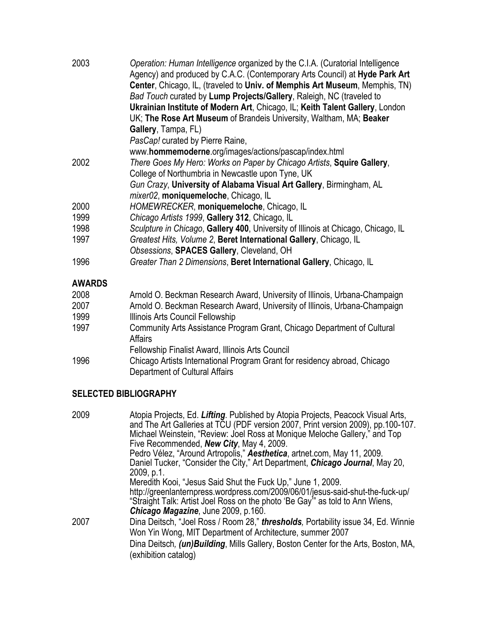| 2003          | Operation: Human Intelligence organized by the C.I.A. (Curatorial Intelligence<br>Agency) and produced by C.A.C. (Contemporary Arts Council) at Hyde Park Art<br>Center, Chicago, IL, (traveled to Univ. of Memphis Art Museum, Memphis, TN)<br>Bad Touch curated by Lump Projects/Gallery, Raleigh, NC (traveled to<br>Ukrainian Institute of Modern Art, Chicago, IL; Keith Talent Gallery, London<br>UK; The Rose Art Museum of Brandeis University, Waltham, MA; Beaker<br>Gallery, Tampa, FL)<br>PasCap! curated by Pierre Raine, |
|---------------|----------------------------------------------------------------------------------------------------------------------------------------------------------------------------------------------------------------------------------------------------------------------------------------------------------------------------------------------------------------------------------------------------------------------------------------------------------------------------------------------------------------------------------------|
| 2002          | www.hommemoderne.org/images/actions/pascap/index.html<br>There Goes My Hero: Works on Paper by Chicago Artists, Squire Gallery,                                                                                                                                                                                                                                                                                                                                                                                                        |
|               | College of Northumbria in Newcastle upon Tyne, UK                                                                                                                                                                                                                                                                                                                                                                                                                                                                                      |
|               | Gun Crazy, University of Alabama Visual Art Gallery, Birmingham, AL                                                                                                                                                                                                                                                                                                                                                                                                                                                                    |
|               | mixer02, moniquemeloche, Chicago, IL                                                                                                                                                                                                                                                                                                                                                                                                                                                                                                   |
| 2000          | HOMEWRECKER, moniquemeloche, Chicago, IL                                                                                                                                                                                                                                                                                                                                                                                                                                                                                               |
| 1999          | Chicago Artists 1999, Gallery 312, Chicago, IL                                                                                                                                                                                                                                                                                                                                                                                                                                                                                         |
| 1998          | Sculpture in Chicago, Gallery 400, University of Illinois at Chicago, Chicago, IL                                                                                                                                                                                                                                                                                                                                                                                                                                                      |
| 1997          | Greatest Hits, Volume 2, Beret International Gallery, Chicago, IL                                                                                                                                                                                                                                                                                                                                                                                                                                                                      |
|               | Obsessions, SPACES Gallery, Cleveland, OH                                                                                                                                                                                                                                                                                                                                                                                                                                                                                              |
| 1996          | Greater Than 2 Dimensions, Beret International Gallery, Chicago, IL                                                                                                                                                                                                                                                                                                                                                                                                                                                                    |
| <b>AWARDS</b> |                                                                                                                                                                                                                                                                                                                                                                                                                                                                                                                                        |
| 2008          | Arnold O. Beckman Research Award, University of Illinois, Urbana-Champaign                                                                                                                                                                                                                                                                                                                                                                                                                                                             |
| 2007          | Arnold O. Beckman Research Award, University of Illinois, Urbana-Champaign                                                                                                                                                                                                                                                                                                                                                                                                                                                             |
| 1999          | Illinois Arts Council Fellowship                                                                                                                                                                                                                                                                                                                                                                                                                                                                                                       |
| 1997          | Community Arts Assistance Program Grant, Chicago Department of Cultural<br><b>Affairs</b>                                                                                                                                                                                                                                                                                                                                                                                                                                              |
|               | Fellowship Finalist Award, Illinois Arts Council                                                                                                                                                                                                                                                                                                                                                                                                                                                                                       |
| 1996          | Chicago Artists International Program Grant for residency abroad, Chicago<br>Department of Cultural Affairs                                                                                                                                                                                                                                                                                                                                                                                                                            |

### **SELECTED BIBLIOGRAPHY**

| 2009 | Atopia Projects, Ed. Lifting. Published by Atopia Projects, Peacock Visual Arts,<br>and The Art Galleries at TCU (PDF version 2007, Print version 2009), pp.100-107.<br>Michael Weinstein, "Review: Joel Ross at Monique Meloche Gallery," and Top<br>Five Recommended, New City, May 4, 2009.<br>Pedro Vélez, "Around Artropolis," Aesthetica, artnet.com, May 11, 2009. |
|------|---------------------------------------------------------------------------------------------------------------------------------------------------------------------------------------------------------------------------------------------------------------------------------------------------------------------------------------------------------------------------|
|      | Daniel Tucker, "Consider the City," Art Department, Chicago Journal, May 20,<br>2009, p.1.                                                                                                                                                                                                                                                                                |
|      | Meredith Kooi, "Jesus Said Shut the Fuck Up," June 1, 2009.<br>http://greenlanternpress.wordpress.com/2009/06/01/jesus-said-shut-the-fuck-up/<br>"Straight Talk: Artist Joel Ross on the photo 'Be Gay'" as told to Ann Wiens,<br><b>Chicago Magazine, June 2009, p.160.</b>                                                                                              |
| 2007 | Dina Deitsch, "Joel Ross / Room 28," <b>thresholds</b> , Portability issue 34, Ed. Winnie<br>Won Yin Wong, MIT Department of Architecture, summer 2007<br>Dina Deitsch, (un) Building, Mills Gallery, Boston Center for the Arts, Boston, MA,                                                                                                                             |
|      | (exhibition catalog)                                                                                                                                                                                                                                                                                                                                                      |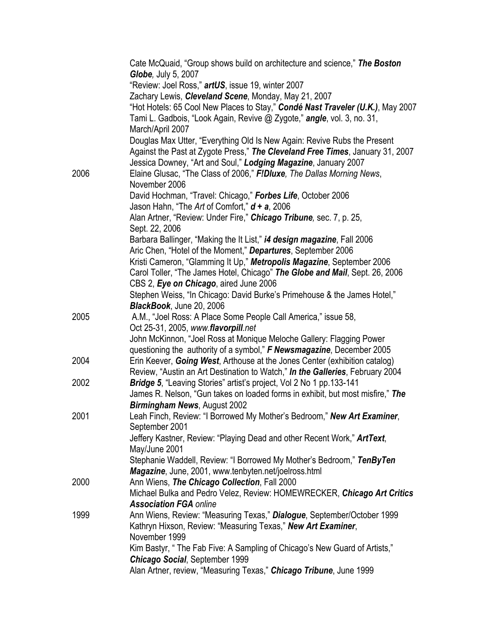|      | Cate McQuaid, "Group shows build on architecture and science," The Boston<br><b>Globe, July 5, 2007</b>                                                   |
|------|-----------------------------------------------------------------------------------------------------------------------------------------------------------|
|      | "Review: Joel Ross," artUS, issue 19, winter 2007                                                                                                         |
|      | Zachary Lewis, Cleveland Scene, Monday, May 21, 2007                                                                                                      |
|      | "Hot Hotels: 65 Cool New Places to Stay," Condé Nast Traveler (U.K.), May 2007                                                                            |
|      | Tami L. Gadbois, "Look Again, Revive @ Zygote," angle, vol. 3, no. 31,<br>March/April 2007                                                                |
|      | Douglas Max Utter, "Everything Old Is New Again: Revive Rubs the Present<br>Against the Past at Zygote Press," The Cleveland Free Times, January 31, 2007 |
|      | Jessica Downey, "Art and Soul," Lodging Magazine, January 2007                                                                                            |
| 2006 | Elaine Glusac, "The Class of 2006," F!Dluxe, The Dallas Morning News,<br>November 2006                                                                    |
|      | David Hochman, "Travel: Chicago," Forbes Life, October 2006                                                                                               |
|      | Jason Hahn, "The Art of Comfort," <b>d + a</b> , 2006                                                                                                     |
|      | Alan Artner, "Review: Under Fire," Chicago Tribune, sec. 7, p. 25,<br>Sept. 22, 2006                                                                      |
|      | Barbara Ballinger, "Making the It List," i4 design magazine, Fall 2006                                                                                    |
|      | Aric Chen, "Hotel of the Moment," Departures, September 2006                                                                                              |
|      | Kristi Cameron, "Glamming It Up," Metropolis Magazine, September 2006                                                                                     |
|      | Carol Toller, "The James Hotel, Chicago" The Globe and Mail, Sept. 26, 2006<br>CBS 2, Eye on Chicago, aired June 2006                                     |
|      | Stephen Weiss, "In Chicago: David Burke's Primehouse & the James Hotel,"                                                                                  |
|      | BlackBook, June 20, 2006                                                                                                                                  |
| 2005 | A.M., "Joel Ross: A Place Some People Call America," issue 58,                                                                                            |
|      | Oct 25-31, 2005, www.flavorpill.net                                                                                                                       |
|      | John McKinnon, "Joel Ross at Monique Meloche Gallery: Flagging Power                                                                                      |
|      | questioning the authority of a symbol," F Newsmagazine, December 2005                                                                                     |
| 2004 | Erin Keever, Going West, Arthouse at the Jones Center (exhibition catalog)                                                                                |
|      | Review, "Austin an Art Destination to Watch," In the Galleries, February 2004                                                                             |
| 2002 | Bridge 5, "Leaving Stories" artist's project, Vol 2 No 1 pp.133-141                                                                                       |
|      | James R. Nelson, "Gun takes on loaded forms in exhibit, but most misfire," The                                                                            |
|      | Birmingham News, August 2002                                                                                                                              |
| 2001 | Leah Finch, Review: "I Borrowed My Mother's Bedroom," New Art Examiner,<br>September 2001                                                                 |
|      | Jeffery Kastner, Review: "Playing Dead and other Recent Work," ArtText,<br>May/June 2001                                                                  |
|      | Stephanie Waddell, Review: "I Borrowed My Mother's Bedroom," TenByTen                                                                                     |
|      | Magazine, June, 2001, www.tenbyten.net/joelross.html                                                                                                      |
| 2000 | Ann Wiens, The Chicago Collection, Fall 2000                                                                                                              |
|      | Michael Bulka and Pedro Velez, Review: HOMEWRECKER, Chicago Art Critics                                                                                   |
|      | <b>Association FGA online</b>                                                                                                                             |
| 1999 | Ann Wiens, Review: "Measuring Texas," Dialogue, September/October 1999                                                                                    |
|      | Kathryn Hixson, Review: "Measuring Texas," New Art Examiner,                                                                                              |
|      | November 1999                                                                                                                                             |
|      | Kim Bastyr, " The Fab Five: A Sampling of Chicago's New Guard of Artists,"                                                                                |
|      | <b>Chicago Social, September 1999</b>                                                                                                                     |
|      | Alan Artner, review, "Measuring Texas," Chicago Tribune, June 1999                                                                                        |